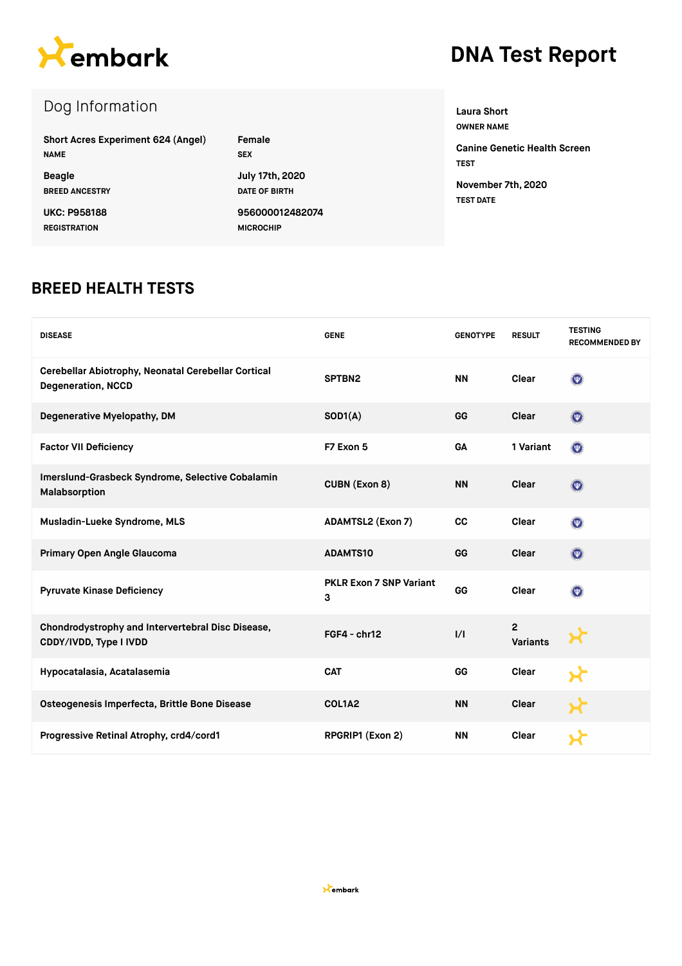

# **DNA Test Report**

# Dog Information

| <b>Short Acres Experiment 624 (Angel)</b> | Female               |
|-------------------------------------------|----------------------|
| <b>NAME</b>                               | <b>SEX</b>           |
| <b>Beagle</b>                             | July 17th, 2020      |
| <b>BREED ANCESTRY</b>                     | <b>DATE OF BIRTH</b> |
| <b>UKC: P958188</b>                       | 956000012482074      |
| <b>REGISTRATION</b>                       | <b>MICROCHIP</b>     |

**Laura Short OWNER NAME**

**Canine Genetic Health Screen TEST November 7th, 2020 TEST DATE**

#### **BREED HEALTH TESTS**

| <b>DISEASE</b>                                                                   | <b>GENE</b>                         | <b>GENOTYPE</b> | <b>RESULT</b>                     | <b>TESTING</b><br><b>RECOMMENDED BY</b> |
|----------------------------------------------------------------------------------|-------------------------------------|-----------------|-----------------------------------|-----------------------------------------|
| Cerebellar Abiotrophy, Neonatal Cerebellar Cortical<br><b>Degeneration, NCCD</b> | SPTBN2                              | <b>NN</b>       | Clear                             | $\odot$                                 |
| Degenerative Myelopathy, DM                                                      | SOD1(A)                             | GG              | Clear                             | $\bullet$                               |
| <b>Factor VII Deficiency</b>                                                     | F7 Exon 5                           | GA              | 1 Variant                         | $\odot$                                 |
| Imerslund-Grasbeck Syndrome, Selective Cobalamin<br>Malabsorption                | <b>CUBN (Exon 8)</b>                | <b>NN</b>       | Clear                             | $\odot$                                 |
| Musladin-Lueke Syndrome, MLS                                                     | <b>ADAMTSL2 (Exon 7)</b>            | CC              | Clear                             | $\odot$                                 |
| Primary Open Angle Glaucoma                                                      | <b>ADAMTS10</b>                     | GG              | Clear                             | $\odot$                                 |
| <b>Pyruvate Kinase Deficiency</b>                                                | <b>PKLR Exon 7 SNP Variant</b><br>3 | GG              | Clear                             | $\left($                                |
| Chondrodystrophy and Intervertebral Disc Disease,<br>CDDY/IVDD, Type I IVDD      | FGF4 - chr12                        | $\frac{1}{1}$   | $\overline{2}$<br><b>Variants</b> |                                         |
| Hypocatalasia, Acatalasemia                                                      | <b>CAT</b>                          | GG              | Clear                             | ≺د                                      |
| Osteogenesis Imperfecta, Brittle Bone Disease                                    | COL1A2                              | <b>NN</b>       | Clear                             |                                         |
| Progressive Retinal Atrophy, crd4/cord1                                          | RPGRIP1 (Exon 2)                    | <b>NN</b>       | Clear                             |                                         |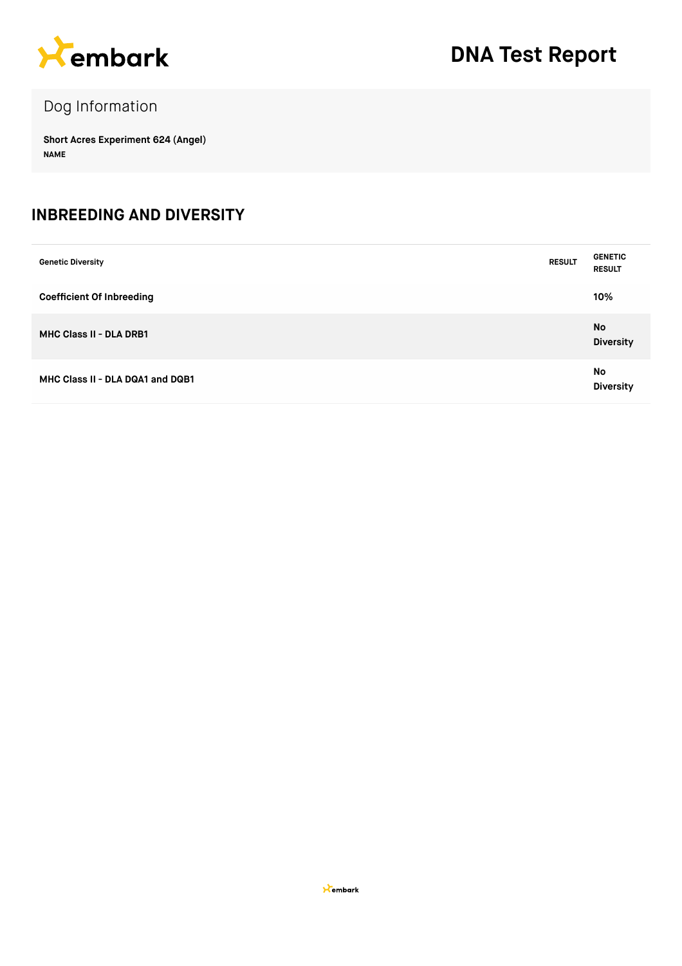

# Dog Information

**Short Acres Experiment 624 (Angel) NAME**

#### **INBREEDING AND DIVERSITY**

| <b>Genetic Diversity</b>         | <b>RESULT</b> | <b>GENETIC</b><br><b>RESULT</b> |
|----------------------------------|---------------|---------------------------------|
| <b>Coefficient Of Inbreeding</b> |               | 10%                             |
| <b>MHC Class II - DLA DRB1</b>   |               | No<br><b>Diversity</b>          |
| MHC Class II - DLA DQA1 and DQB1 |               | No<br><b>Diversity</b>          |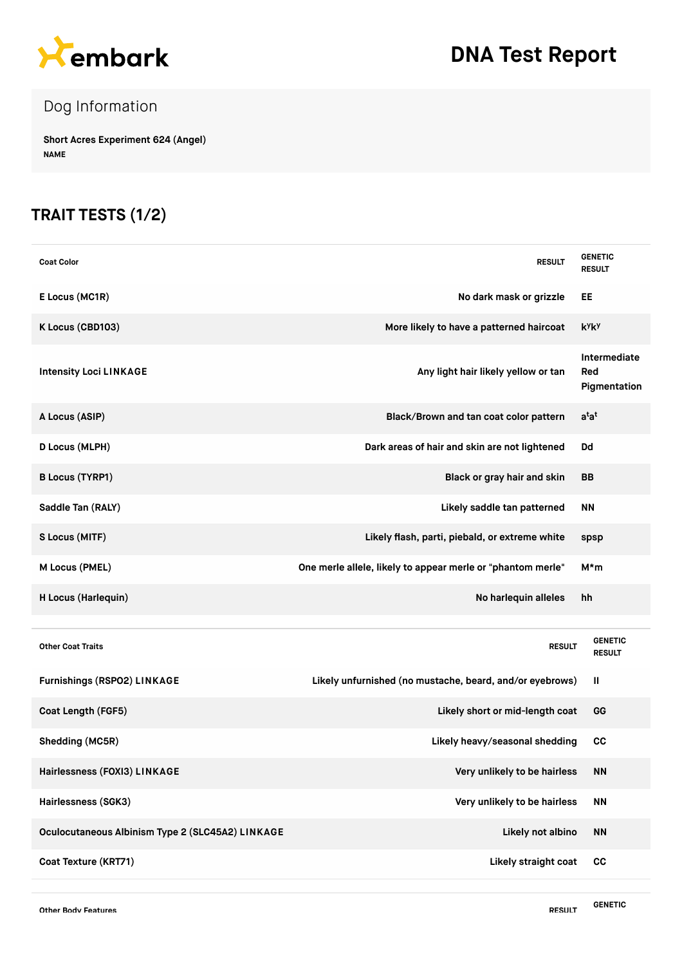

# **DNA Test Report**

# Dog Information

**Short Acres Experiment 624 (Angel) NAME**

### **TRAIT TESTS (1/2)**

| <b>Coat Color</b>                                | <b>RESULT</b>                                               | <b>GENETIC</b><br><b>RESULT</b>     |
|--------------------------------------------------|-------------------------------------------------------------|-------------------------------------|
| E Locus (MC1R)                                   | No dark mask or grizzle                                     | EE                                  |
| K Locus (CBD103)                                 | More likely to have a patterned haircoat                    | <b>k</b> yky                        |
| <b>Intensity Loci LINKAGE</b>                    | Any light hair likely yellow or tan                         | Intermediate<br>Red<br>Pigmentation |
| A Locus (ASIP)                                   | Black/Brown and tan coat color pattern                      | $a^{\dagger}a^{\dagger}$            |
| D Locus (MLPH)                                   | Dark areas of hair and skin are not lightened               | Dd                                  |
| <b>B Locus (TYRP1)</b>                           | Black or gray hair and skin                                 | BB                                  |
| Saddle Tan (RALY)                                | Likely saddle tan patterned                                 | <b>NN</b>                           |
| S Locus (MITF)                                   | Likely flash, parti, piebald, or extreme white              | spsp                                |
| M Locus (PMEL)                                   | One merle allele, likely to appear merle or "phantom merle" | M*m                                 |
| H Locus (Harlequin)                              | No harlequin alleles                                        | hh                                  |
| <b>Other Coat Traits</b>                         | <b>RESULT</b>                                               | <b>GENETIC</b><br><b>RESULT</b>     |
| Furnishings (RSPO2) LINKAGE                      | Likely unfurnished (no mustache, beard, and/or eyebrows)    | Ш                                   |
| Coat Length (FGF5)                               | Likely short or mid-length coat                             | GG                                  |
| Shedding (MC5R)                                  | Likely heavy/seasonal shedding                              | cc                                  |
| Hairlessness (FOXI3) LINKAGE                     | Very unlikely to be hairless                                | <b>NN</b>                           |
| Hairlessness (SGK3)                              | Very unlikely to be hairless                                | <b>NN</b>                           |
| Oculocutaneous Albinism Type 2 (SLC45A2) LINKAGE | Likely not albino                                           | <b>NN</b>                           |
| Coat Texture (KRT71)                             | Likely straight coat                                        | cc                                  |